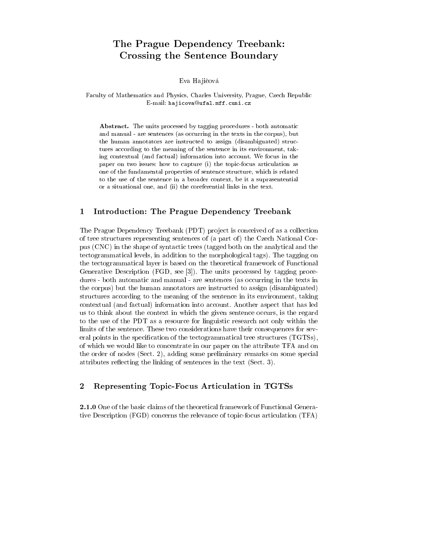# The Practice Dependence of the Press of the Press of the Press of the Press of the Press of the Press of the P Crossing the Sentence Boundary (1996)

Eva Hajičová

Faculty of Mathematics and Physics, Charles University, Prague, Czech Republic E-mail: hajicova@ufal.mff.cuni.cz

Abstract. The units processed by tagging procedures - both automatic and manual - are sentences (as occurring in the texts in the corpus), but the human annotators are instructed to assign (disambiguated) structures according to the meaning of the sentence in its environment, taking contextual (and factual) information into account. We focus in the paper on two issues: how to capture (i) the topic-focus articulation as one of the fundamental properties of sentence structure, which is related to the use of the sentence in a broader context, be it a suprasentential or a situational one, and (ii) the coreferential links in the text.

#### $\mathbf{1}$ 1 Introduction: The Prague Dependency Treebank

The Prague Dependency Treebank (PDT) project is conceived of as a collection of tree structures representing sentences of (a part of ) the Czech National Corpus (CNC) in the shape of syntactic trees (tagged both on the analytical and the tectogrammatical levels, in addition to the morphological tags). The tagging on the tectogrammatical layer is based on the theoretical framework of Functional Generative Description (FGD, see [3]). The units processed by tagging procedures - both automatic and manual - are sentences (as occurring in the texts in the corpus) but the human annotators are instructed to assign (disambiguated) structures according to the meaning of the sentence in its environment, taking contextual (and factual) information into account. Another aspect that has led us to think about the context in which the given sentence occurs, is the regard to the use of the PDT as a resource for linguistic research not only within the limits of the sentence. These two considerations have their consequences for several points in the specification of the tectogrammatical tree structures (TGTSs), of which we would like to concentrate in our paper on the attribute TFA and on the order of nodes (Sect. 2), adding some preliminary remarks on some special attributes reflecting the linking of sentences in the text (Sect. 3).

## 2 Representing Topic-Focus Articulation in TGTSs  $\overline{2}$

2.1.0 One of the basic claims of the theoretical framework of Functional Generative Description (FGD) concerns the relevance of topic-focus articulation (TFA)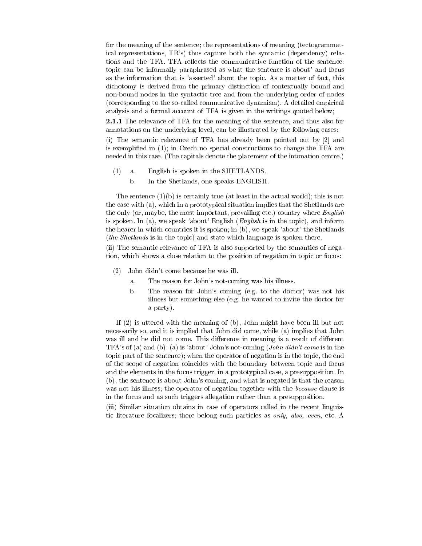for the meaning of the sentence; the representations of meaning (tectogrammatical representations, TR's) thus capture both the syntactic (dependency) relations and the TFA. TFA reflects the communicative function of the sentence: topic can be informally paraphrased as what the sentence is about' and focus as the information that is 'asserted' about the topic. As a matter of fact, this dichotomy is derived from the primary distinction of contextually bound and non-bound nodes in the syntactic tree and from the underlying order of nodes (corresponding to the so-called communicative dynamism). A detailed empirical analysis and a formal account of TFA is given in the writings quoted below;

2.1.1 The relevance of TFA for the meaning of the sentence, and thus also for annotations on the underlying level, can be illustrated by the following cases:

(i) The semantic relevance of TFA has already been pointed out by [2] and is exemplied in (1); in Czech no special constructions to change the TFA are needed in this case. (The capitals denote the placement of the intonation centre.)

- (1) a. English is spoken in the SHETLANDS.
	- b. In the Shetlands, one speaks ENGLISH.

The sentence  $(1)(b)$  is certainly true (at least in the actual world); this is not the case with (a), which in a prototypical situation implies that the Shetlands are the only (or, maybe, the most important, prevailing etc.) country where *English* is spoken. In (a), we speak 'about' English (English is in the topic), and inform the hearer in which countries it is spoken; in (b), we speak 'about' the Shetlands (the Shetlands is in the topic) and state which language is spoken there.

(ii) The semantic relevance of TFA is also supported by the semantics of negation, which shows a close relation to the position of negation in topic or focus:

- (2) John didn't come because he was ill.
	- a. The reason for John's not-coming was his illness.
	- b. The reason for John's coming (e.g. to the doctor) was not his illness but something else (e.g. he wanted to invite the doctor for a party).

If (2) is uttered with the meaning of (b), John might have been ill but not necessarily so, and it is implied that John did come, while (a) implies that John was ill and he did not come. This difference in meaning is a result of different TFA's of (a) and (b): (a) is 'about' John's not-coming (*John didn't come* is in the topic part of the sentence); when the operator of negation is in the topic, the end of the scope of negation coincides with the boundary between topic and focus and the elements in the focus trigger, in a prototypical case, a presupposition. In (b), the sentence is about John's coming, and what is negated is that the reason was not his illness; the operator of negation together with the *because*-clause is in the focus and as such triggers allegation rather than a presupposition.

(iii) Similar situation obtains in case of operators called in the recent linguistic literature focalizers; there belong such particles as only, also, even, etc. A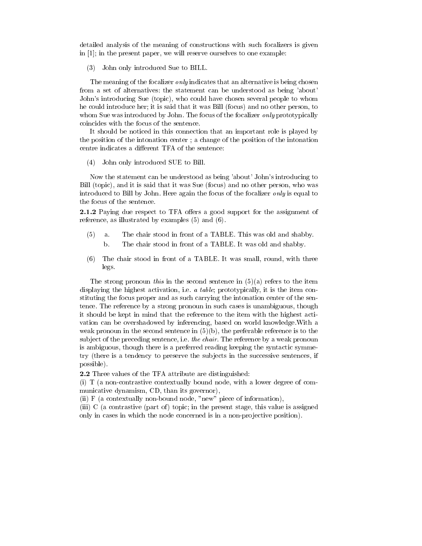detailed analysis of the meaning of constructions with such focalizers is given in [1]; in the present paper, we will reserve ourselves to one example:

(3) John only introduced Sue to BILL.

The meaning of the focalizer *only* indicates that an alternative is being chosen from a set of alternatives: the statement can be understood as being 'about' John's introducing Sue (topic), who could have chosen several people to whom he could introduce her; it is said that it was Bill (focus) and no other person, to whom Sue was introduced by John. The focus of the focalizer *only* prototypically coincides with the focus of the sentence.

It should be noticed in this connection that an important role is played by the position of the intonation center ; a change of the position of the intonation centre indicates a different TFA of the sentence:  $\;$ 

(4) John only introduced SUE to Bill.

Now the statement can be understood as being 'about' John's introducing to Bill (topic), and it is said that it was Sue (focus) and no other person, who was introduced to Bill by John. Here again the focus of the focalizer only is equal to the focus of the sentence.

2.1.2 Paying due respect to TFA offers a good support for the assignment of reference, as illustrated by examples (5) and (6).

- (5) a. The chair stood in front of a TABLE. This was old and shabby.
	- b. The chair stood in front of a TABLE. It was old and shabby.
- (6) The chair stood in front of a TABLE. It was small, round, with three legs.

The strong pronoun this in the second sentence in  $(5)(a)$  refers to the item displaying the highest activation, i.e. a table; prototypically, it is the item constituting the focus proper and as such carrying the intonation center of the sentence. The reference by a strong pronoun in such cases is unambiguous, though it should be kept in mind that the reference to the item with the highest acti vation can be overshadowed by inferencing, based on world knowledge.With a weak pronoun in the second sentence in  $(5)(b)$ , the preferable reference is to the subject of the preceding sentence, i.e. the chair. The reference by a weak pronoun is ambiguous, though there is a preferred reading keeping the syntactic symmetry (there is a tendency to preserve the subjects in the successive sentences, if possible).

2.2 Three values of the TFA attribute are distinguished:

(i) T (a non-contrastive contextually bound node, with a lower degree of com municative dynamism, CD, than its governor),

(ii) F (a contextually non-bound node, "new" piece of information),

(iii) C (a contrastive (part of) topic; in the present stage, this value is assigned only in cases in which the node concerned is in a non-projective position).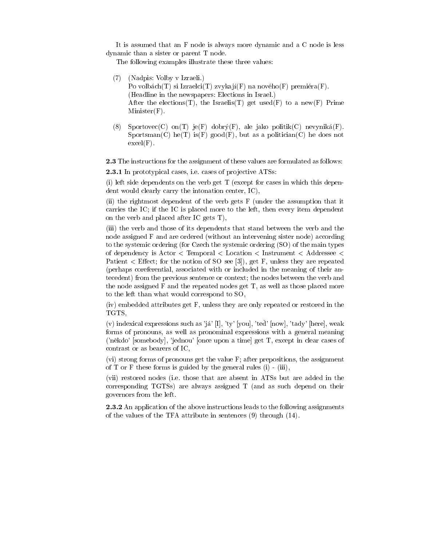It is assumed that an F node is always more dynamic and a C node is less dynamic than a sister or parent T node.

The following examples illustrate these three values: The following examples in the following examples in the set of  $\mathbf{f}$ 

- (7) (Nadpis: Volby v Izraeli.) Po volbách(T) si Izraelci(T) zvykají(F) na nového(F) premiéra(F). (Headline in the newspapers: Elections in Israel.) After the elections(T), the Israelis(T) get used(F) to a new(F) Prime  $Minister(F)$ .
- (8) Sportovec(C) on(T) je(F) dobrý(F), ale jako politik(C) nevyniká(F). Sportsman(C) he(T) is(F) good(F), but as a politician(C) he does not  $excel(F)$ .

2.3 The instructions for the assignment of these values are formulated as follows:

**2.3.1** In prototypical cases, i.e. cases of projective ATSs:

(i) left side dependents on the verb get T (except for cases in which this dependent would clearly carry the intonation center, IC),

(ii) the rightmost dependent of the verb gets F (under the assumption that it carries the IC; if the IC is placed more to the left, then every item dependent on the verb and placed after IC gets T),

(iii) the verb and those of its dependents that stand between the verb and the node assigned F and are ordered (without an intervening sister node) according to the systemic ordering (for Czech the systemic ordering (SO) of the main types of dependency is Actor <sup>&</sup>lt; Temporal <sup>&</sup>lt; Location <sup>&</sup>lt; Instrument <sup>&</sup>lt; Addressee <sup>&</sup>lt; Patient  $\lt$  Effect; for the notion of SO see [3]), get F, unless they are repeated (perhaps coreferential, associated with or included in the meaning of their antecedent) from the previous sentence or context; the nodes between the verb and the node assigned F and the repeated nodes get T, as well as those placed more to the left than what would correspond to SO,

(iv) embedded attributes get F, unless they are only repeated or restored in the TGTS. TGTS, TGTS, TGTS, TGTS, TGTS, TGTS, TGTS, TGTS, TGTS, TGTS, TGTS, TGTS, TGTS, TGTS, TGTS, TGTS, TGTS, TGTS, TG

(v) indexical expressions such as 'ja'  $[I], 'ty'$  [you], 'ted' [now], 'tady' [here], weak forms of pronouns, as well as pronominal expressions with a general meaning ('nekdo' [somebody], 'jednou' [once upon a time] get T, except in clear cases of contrast or as bearers of IC,

(vi) strong forms of pronouns get the value F; after prepositions, the assignment of  $T$  or  $F$  these forms is guided by the general rules (i) - (iii),

(vii) restored nodes (i.e. those that are absent in ATSs but are added in the corresponding TGTSs) are always assigned T (and as such depend on their governors from the left.

2.3.2 An application of the above instructions leads to the following assignments of the values of the TFA attribute in sentences (9) through (14).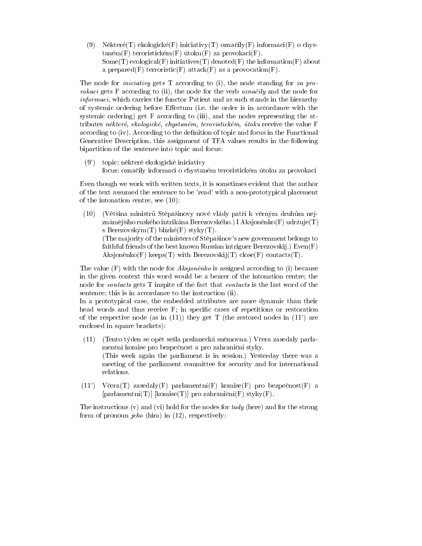(9) Některé(T) ekologické(F) iniciativy(T) označily(F) informaci(F) o chys $taném(F)$  teroristickém(F) útoku(F) za provokaci(F).  $Some(T) ecological(F)$  initiatives(T) denoted(F) the information(F) about a prepared(F) terroristic(F) attack(F) as a provocation(F).

The node for *iniciativy* gets T according to (i), the node standing for za provokaci gets F according to (ii), the node for the verb *označily* and the node for informaci, which carries the functor Patient and as such stands in the hierarchy of systemic ordering before Effectum (i.e. the order is in accordance with the systemic ordering) get F according to (iii), and the nodes representing the attributes některé, ekologické, chystaném, teroristickém, útoku receive the value F according to (iv). According to the definition of topic and focus in the Functional Generative Description, this assignment of TFA values results in the following bipartition of the sentence into topic and focus:

(9') topic: nektere ekologicke iniciativy focus: označily informaci o chystaném teroristickém útoku za provokaci

Even though we work with written texts, it is sometimes evident that the author of the text assumed the sentence to be 'read' with a non-prototypical placement of the intonation centre, see (10):

(10) (Většina ministrů Stěpašinovy nové vlády patří k věrným druhům nejznámějšího ruského intrikána Berezovského.) I Aksjoněnko $(F)$  udržuje $(T)$ s Berezovským $(T)$  blízké $(F)$  styky $(T)$ .

(The ma jority of the ministers of Stepasinov's new government belongs to faithful friends of the best known Russian intriguer Berezovskij.) Even(F) Aksjonenko(F) keeps(T) with Berezovskij(T) close(F) contacts(T).

The value  $(F)$  with the node for *Aksjonenko* is assigned according to (i) because in the given context this word would be a bearer of the intonation centre; the node for contacts gets T inspite of the fact that contacts is the last word of the sentence; this is in accordance to the instruction (ii).

In a prototypical case, the embedded attributes are more dynamic than their head words and thus receive F; in specific cases of repetitions or restoration of the respective node (as in  $(11)$ ) they get T (the restored nodes in  $(11')$ ) are enclosed in square brackets):

- (11) (Tento tyden se opet sesla poslanecka snemovna.) Vcera zasedaly parlamentní komise pro bezpečnost a pro zahraniční styky. (This week again the parliament is in session.) Yesterday there was a meeting of the parliament committee for security and for international relations.
- (11') Včera(T) zasedaly(F) parlamentní(F) komise(F) pro bezpečnost(F) a [parlamentní(T)] [komise(T)] pro zahraniční(F) styky(F).

The instructions (v) and (vi) hold for the nodes for  $tady$  (here) and for the strong form of pronoun *jeho* (him) in  $(12)$ , respectively: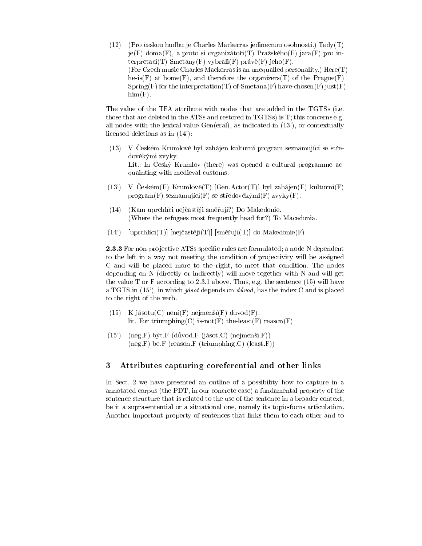(12) (Pro českou hudbu je Charles Mackerras jedinečnou osobností.) Tady(T) je(F) doma(F), a proto si organizátoři(T) Pražského(F) jara(F) pro interpretaci(T) Smetany(F) vybrali(F) právě(F) jeho(F). (For Czech music Charles Mackerras is an unequalled personality.) Here(T) he-is(F) at home(F), and therefore the organizers(T) of the  $P^{r}$  rague(F)  $Spring(F)$  for the interpretation(T) of-Smetana(F) have-chosen(F) just(F)  $him(F).$ 

The value of the TFA attribute with nodes that are added in the TGTSs (i.e. those that are deleted in the ATSs and restored in TGTSs) is T; this concerns e.g. all nodes with the lexical value Gen(eral), as indicated in (13'), or contextually licensed deletions as in (14'):

- (13) V Cesk em Krumlove byl zahajen kulturn program seznamujc se stredovekymi zvyky. Lit.: In  $Cesk'$  Krumlov (there) was opened a cultural programme acquainting with medieval customs.
- $(13')$  V Ceském $(F)$  Krumlově $(T)$  [Gen.Actor(T)] byl zahájen $(F)$  kulturní $(F)$  $program(F)$  seznamující $(F)$  se středověkými $(F)$  zvyky $(F)$ .
- (14) (Kam uprchlíci nejčastěji směřují?) Do Makedonie. (Where the refugees most frequently head for?) To Macedonia.
- $(14')$  [uprchlíci(T)] [nejčastěji(T)] [směřují(T)] do Makedonie(F)

**2.3.3** For non-projective ATSs specific rules are formulated; a node N dependent to the left in a way not meeting the condition of projectivity will be assigned C and willbe placed more to the right, to meet that condition. The nodes depending on N (directly or indirectly) will move together with N and will get the value T or F according to 2.3.1 above. Thus, e.g. the sentence  $(15)$  will have a TGTS in  $(15')$ , in which *jasot* depends on *duvod*, has the index C and is placed to the right of the verb.

- (15) K jásotu $(C)$  není $(F)$  nejmenší $(F)$  důvod $(F)$ . lit. For triumphing(C) is-not(F) the-least(F) reason(F)
- (15') (neg.F) být.F (důvod.F (jásot.C) (nejmenší.F))  $(neg.F)$  be F (reason F (triumphing C) (least F))

### 3 Attributes capturing coreferential and other links

In Sect. 2 we have presented an outline of a possibility how to capture in a annotated corpus (the PDT, in our concrete case) a fundamental property of the sentence structure that is related to the use of the sentence in a broader context, be it a suprasentential or a situational one, namely its topic-focus articulation. Another important property of sentences that links them to each other and to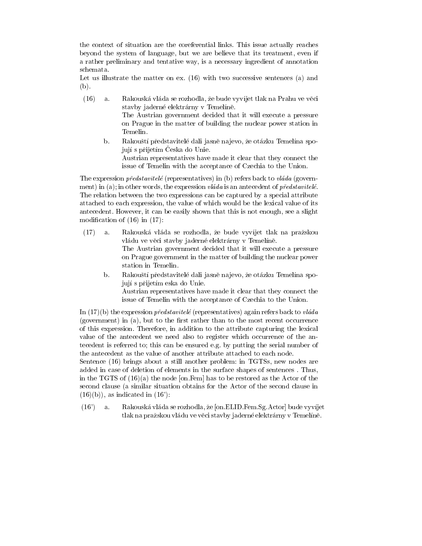the context of situation are the coreferential links. This issue actually reaches beyond the system of language, but we are believe that its treatment, even if a rather preliminary and tentative way, is a necessary ingredient of annotation schemata.

Let us illustrate the matter on ex. (16) with two successive sentences (a) and (b).

- (16) a. Rakouska vlada se rozhodla, ze bude vyvjet tlak na Prahu ve veci stavby jaderné elektrárny v Temelíně. The Austrian government decided that it will execute a pressure on Prague in the matter of building the nuclear power station in Temelin.
	- b. Rakouští představitelé dali jasně najevo, že otázku Temelína spojují s přijetím Česka do Unie. Austrian representatives have made it clear that they connect the issue of Temelin with the acceptance of Czechia to the Union.

The expression  $p\check{r}edstavitel\acute{e}$  (representatives) in (b) refers back to vláda (government) in (a); in other words, the expression vlada is an antecedent of predstavitele. The relation between the two expressions can be captured by a special attribute attached to each expression, the value of which would be the lexical value of its antecedent. However, it can be easily shown that this is not enough, see a slight modification of  $(16)$  in  $(17)$ :

- (17) a. Rakouska vlada se rozhodla, ze bude vyvjet tlak na prazskou vládu ve věci stavby jaderné elektrárny v Temelíně. The Austrian government decided that it will execute a pressure on Prague government in the matter of building the nuclear power station in Temelin.
	- Rakouští představitelé dali jasně na jevo, že otázku Temelína spob. jují s přijetím eska do Unie. Austrian representatives have made it clear that they connect the issue of Temelin with the acceptance of Czechia to the Union.

In  $(17)(b)$  the expression *predstavitele* (representatives) again refers back to vlada  $(goverment)$  in (a), but to the first rather than to the most recent occurrence of this expression. Therefore, in addition to the attribute capturing the lexical value of the antecedent we need also to register which occurrence of the antecedent is referred to; this can be ensured e.g. by putting the serial number of the antecedent as the value of another attribute attached to each node.

Sentence (16) brings about a still another problem: in TGTSs, new nodes are added in case of deletion of elements in the surface shapes of sentences . Thus, in the TGTS of  $(16)(a)$  the node [on.Fem] has to be restored as the Actor of the second clause (a similar situation obtains for the Actor of the second clause in  $(16)(b)$ , as indicated in  $(16')$ :

(16') a. Rakouska vlada se rozhodla, ze [on.ELID.Fem.Sg.Actor] bude vyvjet tlak na pražskou vládu ve věci stavby jaderné elektrárny v Temelíně.